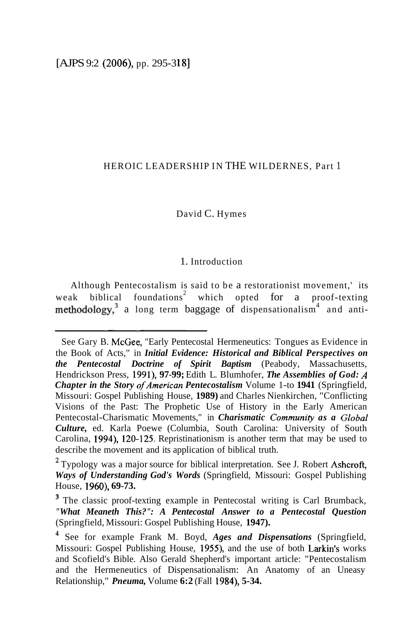#### HEROIC LEADERSHIP IN THE WILDERNES, Part 1

#### David C. Hymes

### 1. Introduction

Although Pentecostalism is said to be a restorationist movement,' its weak biblical foundations<sup>2</sup> which opted for a proof-texting  $methodology$ <sup>3</sup> a long term baggage of dispensationalism<sup>4</sup> and anti-

See Gary B. McGee, "Early Pentecostal Hermeneutics: Tongues as Evidence in the Book of Acts," in *Initial Evidence: Historical and Biblical Perspectives on the Pentecostal Doctrine of Spirit Baptism* (Peabody, Massachusetts, Hendrickson Press, **1991), 97-99;** Edith L. Blumhofer, *The Assemblies of God: A Chapter in the Story of American Pentecostalism Volume 1-to 1941 (Springfield,* Missouri: Gospel Publishing House, **1989)** and Charles Nienkirchen, "Conflicting Visions of the Past: The Prophetic Use of History in the Early American Pentecostal-Charismatic Movements," in *Charismatic Communily as a Global Culture,* ed. Karla Poewe (Columbia, South Carolina: University of South Carolina, **1994), 120-125.** Repristinationism is another term that may be used to describe the movement and its application of biblical truth.

<sup>&</sup>lt;sup>2</sup> Typology was a major source for biblical interpretation. See J. Robert Ashcroft, *Ways of Understanding God's Words* (Springfield, Missouri: Gospel Publishing House, **1960), 69-73.** 

<sup>&</sup>lt;sup>3</sup> The classic proof-texting example in Pentecostal writing is Carl Brumback, *"What Meaneth This?": A Pentecostal Answer to a Pentecostal Question*  (Springfield, Missouri: Gospel Publishing House, **1947).** 

See for example Frank M. Boyd, *Ages and Dispensations* (Springfield, Missouri: Gospel Publishing House, **1955),** and the use of both Larkin's works and Scofield's Bible. Also Gerald Shepherd's important article: "Pentecostalism and the Hermeneutics of Dispensationalism: An Anatomy of an Uneasy Relationship," *Pneuma,* Volume **6:2** (Fall **1984), 5-34.**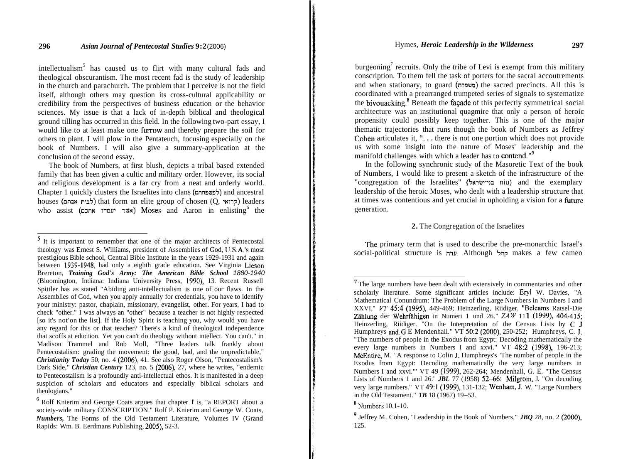intellectualism<sup>5</sup> has caused us to flirt with many cultural fads and theological obscurantism. The most recent fad is the study of leadership in the church and parachurch. The problem that I perceive is not the field itself, although others may question its cross-cultural applicability or credibility from the perspectives of business education or the behavior sciences. My issue is that a lack of in-depth biblical and theological ground tilling has occurred in this field. In the following two-part essay, I would like to at least make one firrow and thereby prepare the soil for others to plant. I will plow in the Pentateuch, focusing especially on the book of Numbers. I will also give a summary-application at the conclusion of the second essay.

The book of Numbers, at first blush, depicts a tribal based extended family that has been given a cultic and military order. However, its social and religious development is a far cry from a neat and orderly world. Chapter 1 quickly clusters the Israelites into clans (לפשפחתם) and ancestral houses (chosen (chosen (chosen (chosen (chosen) eaders) that form an elite group of chosen ( who assist (אשׁר יעמדו אחכם) Moses and Aaron in enlisting<sup>6</sup> the

burgeoning<sup>7</sup> recruits. Only the tribe of Levi is exempt from this military conscription. To them fell the task of porters for the sacral accoutrements and when stationary, to guard (mnwn) the sacred precincts. All this is coordinated with a prearranged trumpeted series of signals to systematize the bivouacking.<sup>8</sup> Beneath the facade of this perfectly symmetrical social architecture was an institutional quagmire that only a person of heroic propensity could possibly keep together. This is one of the major thematic trajectories that runs though the book of Numbers as Jeffrey Cohen articulates it, "... there is not one portion which does not provide us with some insight into the nature of Moses' leadership and the manifold challenges with which a leader has to **contend.**"<sup>9</sup>

In the following synchronic study of the Masoretic Text of the book of Numbers, I would like to present a sketch of the infrastructure of the "congregation of the Israelites" (5~1i~17--12 niu) and the exemplary leadership of the heroic Moses, who dealt with a leadership structure that at times was contentious and yet crucial in upholding a vision for a future generation.

### **2.** The Congregation of the Israelites

The primary term that is used to describe the pre-monarchic Israel's social-political structure is ערה. Although 5;es a few cameo

<sup>&</sup>lt;sup>5</sup> It is important to remember that one of the major architects of Pentecostal theology was Ernest S. Williams, president of Assemblies of God, U.S.A.'s most prestigious Bible school, Central Bible Institute in the years 1929-1931 and again between 1939-1948, had only a eighth grade education. See Virginia Lieson Brereton, *Training God's Army: The American Bible School* 1880-1940 (Bloomington, Indiana: Indiana University Press, 1990), 13. Recent Russell Spittler has as stated "Abiding anti-intellectualism is one of our flaws. In the Assemblies of God, when you apply annually for credentials, you have to identify your ministry: pastor, chaplain, missionary, evangelist, other. For years, I had to check "other." I was always an "other" because a teacher is not highly respected [so it's not'on the list]. If the Holy Spirit is teaching you, why would you have any regard for this or that teacher? There's a kind of theological independence that scoffs at eduction. Yet you can't do theology without intellect. You can't." in Madison Trammel and Rob Moll, "Three leaders talk frankly about Pentecostalism: grading the movement: the good, bad, and the unpredictable," *Christianity Today* 50, no. 4 (2006), 41. See also Roger Olson, "Pentecostalism's Dark Side," *Christian Century* 123, no. 5 (2006), 27, where he writes, "endemic to Pentecostalism is a profoundly anti-intellectual ethos. It is manifested in a deep suspicion of scholars and educators and especially biblical scholars and theologians."

 $6$  Rolf Knierim and George Coats argues that chapter 1 is, "a REPORT about a society-wide military CONSCRIPTION." Rolf P. Knierim and George W. Coats, *Numbers,* The Forms of the Old Testament Literature, Volumes IV (Grand Rapids: Wm. B. Eerdmans Publishing, 2005), 52-3.

<sup>&#</sup>x27; The large numbers have been dealt with extensively in commentaries and other scholarly literature. Some significant articles include: Eryl W. Davies, "A Mathematical Conundrum: The Problem of the Large Numbers in Numbers I and XXVI," *VT* 45:4 (1995), 449-469; Heinzerling, Riidiger. "Beleams Ratsel-Die Zählung der Wehrfähigen in Numeri 1 und  $26$ ."  $ZAW$  111 (1999), 404-415; Heinzerling, Riidiger. "On the Interpretation of the Census Lists by C J Humphreys and G E Mendenhall." VT 50:2 (2000), 250-252; Humphreys, C. J. "The numbers of people in the Exodus from Egypt: Decoding mathematically the every large numbers in Numbers I and xxvi." VT 48:2 (1998), 196-213; McEntire, M. "A response to Colin J. Humphreys's 'The number of people in the Exodus from Egypt: Decoding mathematically the very large numbers in Numbers I and xxvi."' VT 49 (1999), 262-264; Mendenhall, G. E. "The Census Lists of Numbers 1 and 26." *JBL* 77 (1958)  $52-66$ ; Milgrom, J. "On decoding very large numbers." VT 49:l (1999), 131-132; Wenham, J. W. "Large Numbers in the Old Testament." *TB* 18 (1967) 19-53.

 $8$  Numbers 10.1-10.

Jeffrey M. Cohen, "Leadership in the Book of Numbers," *JBQ* 28, no. 2 (2000), 125.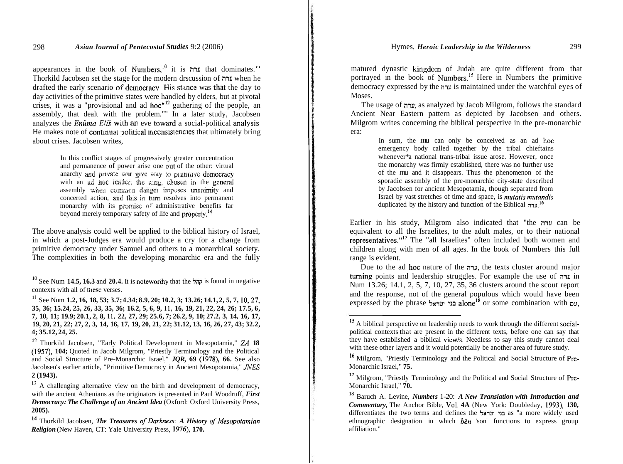appearances in the book of Numbers,<sup>10</sup> it is  $\mu$  that dominates." Thorkild Jacobsen set the stage for the modern drscussion of **;nu** when he drafted the early scenario of democracy His stance was that the day to day activities of the primitive states were handled by elders, but at pivotal crises, it was a "provisional and ad hoc"<sup>12</sup> gathering of the people, an assembly, that dealt with the problem."' In a later study, Jacobsen analyzes the *Enûma Elis* with an eve toward a social-political analysis He makes note of continual political inconsistencies that ultimately bring about crises. Jacobsen writes,

> In this conflict stages of progressively greater concentration and permanence of power arise one out of the other: virtual anarchy and private war give way to primitive democracy with an ad noc leader, the king, chosen in the general assembly when common danger imposes unanimity and concerted action, and this in turn resolves into permanent monarchy with its promise of administrative benefits far beyond merely temporary safety of life and **property**.<sup>14</sup>

The above analysis could well be applied to the biblical history of Israel, in which a post-Judges era would produce a cry for a change from primitive democracy under Samuel and others to a monarchical society. The complexities in both the developing monarchic era and the fully matured dynastic kingdom of Judah are quite different from that portrayed in the book of Numbers.<sup>15</sup> Here in Numbers the primitive democracy expressed by the ערה is maintained under the watchful eyes of **Moses** 

The usage of **;nu,** as analyzed by Jacob Milgrom, follows the standard Ancient Near Eastern pattern as depicted by Jacobsen and others. Milgrom writes concerning the biblical perspective in the pre-monarchic era:

> In sum, the mu can only be conceived as an ad hoc emergency body called together by the tribal chieftains whenever\*a national trans-tribal issue arose. However, once the monarchy was firmly established, there was no further use of the mu and it disappears. Thus the phenomenon of the sporadic assembly of the pre-monarchic city-state described by Jacobsen for ancient Mesopotamia, though separated from Israel by vast stretches of time and space, is *mutatis mutandis*  duplicated by the history and function of the Biblical **x**<sup>16</sup>

Earlier in his study, Milgrom also indicated that "the **;nu** can be equivalent to all the Israelites, to the adult males, or to their national representatives."17 The "all Israelites" often included both women and children along with men of all ages. In the book of Numbers this full range is evident.

Due to the ad hoc nature of the mu, the texts cluster around major twning points and leadership struggles. For example the use of **;nu** in Num 13.26; 14.1, 2, 5, 7, 10, 27, 35, 36 clusters around the scout report and the response, not of the general populous which would have been expressed by the phrase **EXP EXP and Line in the processed** by the phrase **EXP EXP, <b>EXPLEM PY, EXP, CO EXP, EXP, CO EXPLEM PY, EXPLEM PY, EXPLEM PY, EXPLEM PY, EXPLEM PY, EXPLEM PY,** 

 $^{10}$  See Num **14.5, 16.3** and **20.4.** It is noteworthy that the  $\frac{1}{2}$  is found in negative contexts with all of these verses.

<sup>&</sup>lt;sup>11</sup> See Num **1.2, 16, 18, 53; 3.7; 4.34; 8.9, 20; 10.2, 3; 13.26; 14.1, 2, 5, 7, 10, 27, 35, 36; 15.24, 25, 26, 33, 35, 36; 16.2, 5, 6, 9, 11, 16, 19, 21, 22, 24, 26; 17.5, 6, 7, 10, 11; 19.9; 20.1, 2, 8, 11, 22, 27, 29; 25.6, 7; 26.2, 9, 10; 27.2, 3, 14, 16, 17, 19, 20, 21, 22; 27, 2, 3, 14, 16, 17, 19, 20, 21, 22; 31.12, 13, 16, 26, 27, 43; 32.2, 4; 35.12, 24, 25.** 

l2 Thorkild Jacobsen, "Early Political Development in Mesopotamia," ZA **18 (1957), 104;** Quoted in Jacob Milgrom, "Priestly Terminology and the Political and Social Structure of Pre-Monarchic Israel," *JQR,* **69 (1978), 66.** See also Jacobsen's earlier article, "Primitive Democracy in Ancient Mesopotamia," JNES **2 (1943).** 

<sup>&</sup>lt;sup>13</sup> A challenging alternative view on the birth and development of democracy, with the ancient Athenians as the originators is presented in Paul Woodruff, *First Democracy: The Challenge of an Ancient Idea* (Oxford: Oxford University Press, **2005).** 

<sup>&</sup>lt;sup>14</sup> Thorkild Jacobsen, *The Treasures of Darkness: A History of Mesopotamian Religion* (New Haven, CT: Yale University Press, **1976), 170.** 

<sup>&</sup>lt;sup>15</sup> A biblical perspective on leadership needs to work through the different socialpolitical contexts that are present in the different texts, before one can say that they have established a biblical view/s. Needless to say this study cannot deal with these other layers and it would potentially be another area of future study.

l6 Milgrom, "Priestly Terminology and the Political and Social Structure of Pre-Monarchic Israel," **75.** 

**<sup>17</sup>**Milgrom, "Priestly Terminology and the Political and Social Structure of Pre-Monarchic Israel," **70.** 

<sup>18</sup> Baruch A. Levine, *Numbers* 1-20: *A New Translation with Introduction and Commentary,* The Anchor Bible, Vol. **4A** (New York: Doubleday, **1993), 130,**  differentiates the two terms and defines the **5xiw-** .12 as "a more widely used ethnographic designation in which *ben* 'son' functions to express group affiliation."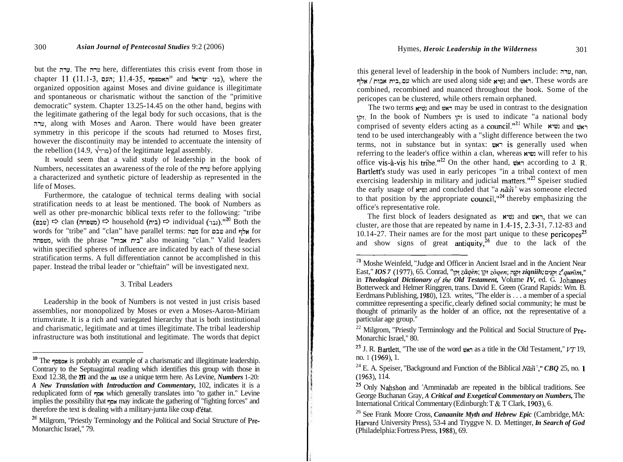but the **mu.** The mu here, differentiates this crisis event from those in chapter 11 (11.1-3, העם; 11.4-35, האספסף; 35-11.4-35, inhere the organized opposition against Moses and divine guidance is illegitimate and spontaneous or charismatic without the sanction of the "primitive democratic" system. Chapter 13.25-14.45 on the other hand, begins with the legitimate gathering of the legal body for such occasions, that is the mu, along with Moses and Aaron. There would have been greater symmetry in this pericope if the scouts had returned to Moses first, however the discontinuity may be intended to accentuate the intensity of the rebellion (14.9,  $\sqrt{m}$ ) of the legitimate legal assembly.

It would seem that a valid study of leadership in the book of Numbers, necessitates an awareness of the role of the mu before applying a characterized and synthetic picture of leadership as represented in the life of Moses.

Furthermore, the catalogue of technical terms dealing with social stratification needs to at least be mentioned. The book of Numbers as well as other pre-monarchic biblical texts refer to the following: "tribe (au)  $\Rightarrow$  clan (ang)  $\Rightarrow$  household ( $\Rightarrow$  individual (uza)."<sup>20</sup> Both the words for "tribe" and "clan" have parallel terms: אלף and yet and אלף and  $\gamma$ neaning "clan." Valid leaders "ביח אבוח" also meaning "clan." Valid leaders within specified spheres of influence are indicated by each of these social stratification terms. A full differentiation cannot be accomplished in this paper. Instead the tribal leader or "chieftain" will be investigated next.

# 3. Tribal Leaders

Leadership in the book of Numbers is not vested in just crisis based assemblies, nor monopolized by Moses or even a Moses-Aaron-Miriam triumvirate. It is a rich and variegated hierarchy that is both institutional and charismatic, legitimate and at times illegitimate. The tribal leadership infrastructure was both institutional and legitimate. The words that depict

this general level of leadership in the book of Numbers include: ערה, nan,  $1$ ולל and resead along side reseal news are reseal news. These words are combined, recombined and nuanced throughout the book. Some of the pericopes can be clustered, while others remain orphaned.

The two terms  $\lim_{x \to a}$  and  $\lim_{x \to a}$  may be used in contrast to the designation  $p_{\text{N}}$ . In the book of Numbers  $p_{\text{N}}$  is used to indicate "a national body comprised of seventy elders acting as a council."<sup>21</sup> While **read with** tend to be used interchangeably with a "slight difference between the two terms, not in substance but in syntax:  $\nu$ **x** is generally used when referring to the leader's office within a clan, whereas retail refer to his office vis-à-vis his tribe."<sup>22</sup> On the other hand,  $\nu$ <sub>N</sub> according to J. R. Bartlett's study was used in early pericopes "in a tribal context of men exercising leadership in military and judicial matters."<sup>23</sup> Speiser studied the early usage of **ximelect** and concluded that "a *nāši*' was someone elected to that position by the appropriate council,  $n^{24}$  thereby emphasizing the office's representative role.

The first block of leaders designated as  $x \cdot w$  and  $w \cdot z$ , that we can cluster, are those that are repeated by name in  $1.4-15$ ,  $2.3-31$ ,  $7.12-83$  and 10.14-27. Their names are for the most part unique to these pericopes<sup>25</sup> and show signs of great antiquity,  $26$  due to the lack of the

**<sup>19</sup>** The words is probably an example of a charismatic and illegitimate leadership. Contrary to the Septuagintal reading which identifies this group with those in Exod 12.38, the **211** and the **m** use a unique term here. As Levine, *Numbers* 1-20: *A New Translation with Introduction and Commentary,* 102, indicates it is a reduplicated form of 70% which generally translates into "to gather in." Levine implies the possibility that  $\eta$ ow may indicate the gathering of "fighting forces" and therefore the text is dealing with a military-junta like coup d'état.

<sup>&</sup>lt;sup>20</sup> Milgrom, "Priestly Terminology and the Political and Social Structure of Pre-Monarchic Israel," 79.

<sup>&</sup>lt;sup>21</sup> Moshe Weinfeld, "Judge and Officer in Ancient Israel and in the Ancient Near East," *IOS 7* (1977), 65. Conrad, "I?! *ziiqen;* lpr *zoqen;* npr *ziqniih;* o?pr *zequn?m,"*  in *Theological Dictionary of the Old Testament*, Volume *IV*, ed. G. Johannes Botterweck and Helmer Ringgren, trans. David E. Green (Grand Rapids: Wm. B. Eerdmans Publishing, 1980), 123. writes, "The elder is . . . a member of a special committee representing a specific, clearly defined social community; he must be thought of primarily as the holder of an office, not the representative of a

 $22$  Milgrom, "Priestly Terminology and the Political and Social Structure of Pre-Monarchic Israel," 80.

<sup>23</sup> J. R. Bartlett, "The use of the word  $\nu \nvert$  as a title in the Old Testament,"  $VT$  19, no. 1 (1969), 1.<br><sup>24</sup> E. A. Speiser, "Background and Function of the Biblical *Nasti*<sup>2</sup>," *CBQ* 25, no. 1

<sup>(1963), 114.</sup> 

<sup>&</sup>lt;sup>25</sup> Only Nahshon and 'Arnminadab are repeated in the biblical traditions. See George Buchanan Gray, *A Critical and Exegetical Commentary on Numbers,* The International Critical Commentary (Edinburgh: T & T Clark, 1903), 6.

<sup>26</sup> See Frank Moore Cross, *Canaanite Myth and Hebrew Epic* (Cambridge, MA: Harvard University Press), 53-4 and Tryggve N. D. Mettinger, *In Search of God*  (Philadelphia: Fortress Press, 1988), 69.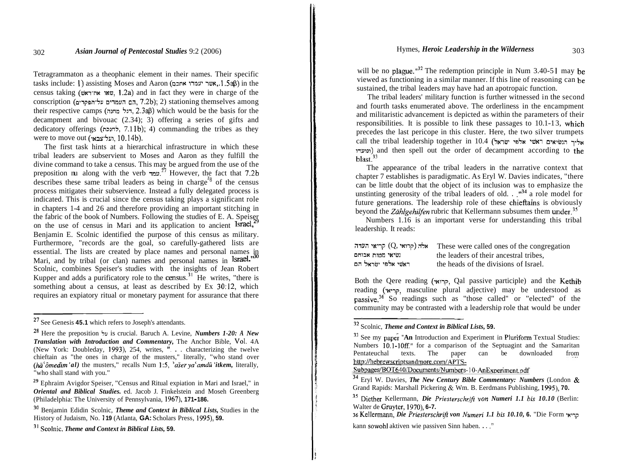Tetragrammaton as a theophanic element in their names. Their specific  $t$ asks include: 1) assisting Moses and Aaron (סאבר יעמרו אתכם, 1.548) in the census taking (שאו את־ראש, 1.2a) and in fact they were in charge of the conscription (הב העמדים על־הפקדים, 7.2b); 2) stationing themselves among their respective camps (דגל מחנה, 2.3aB) which would be the basis for the decampment and bivouac (2.34); 3) offering a series of gifts and dedicatory offerings (לחנכה, 7.11b); 4) commanding the tribes as they were to move out (תעל־צבאו, 10.14b).

The first task hints at a hierarchical infrastructure in which these tribal leaders are subservient to Moses and Aaron as they fulfill the divine command to take a census. This may be argued from the use of the preposition nu along with the verb  $\frac{27}{10}$  However, the fact that 7.2b describes these same tribal leaders as being in charge<sup> $z_8$ </sup> of the census process mitigates their subservience. Instead a fully delegated process is indicated. This is crucial since the census taking plays a significant role in chapters 1-4 and 26 and therefore providing an important stitching in the fabric of the book of Numbers. Following the studies of E. A. Speiser on the use of census in Mari and its application to ancient  $\text{Israel}^2$ Benjamin E. Scolnic identified the purpose of this census as military. Furthermore, "records are the goal, so carefully-gathered lists are essential. The lists are created by place names and personal names in Mari, and by tribal (or clan) names and personal names in Israel." Scolnic, combines Speiser's studies with the insights of Jean Robert Kupper and adds a purificatory role to the census.<sup>31</sup> He writes, "there is something about a census, at least as described by Ex 30:12, which requires an expiatory ritual or monetary payment for assurance that there

will be no plague." $32$  The redemption principle in Num 3.40-51 may be viewed as functioning in a similar manner. If this line of reasoning can be sustained, the tribal leaders may have had an apotropaic function.

The tribal leaders' military function is further witnessed in the second and fourth tasks enumerated above. The orderliness in the encampment and militaristic advancement is depicted as within the parameters of their responsibilities. It is possible to link these passages to 10.1-13, which precedes the last pericope in this cluster. Here, the two silver trumpets call the tribal leadership together in 10.4 (אליך הנשיאים ראשי אלפי ישראל ~iul~l) and then spell out the order of decampment according to the blast<sup>33</sup>

The appearance of the tribal leaders in the narrative context that chapter 7 establishes is paradigmatic. As Eryl W. Davies indicates, "there can be little doubt that the object of its inclusion was to emphasize the unstinting generosity of the tribal leaders of old.  $\cdot$ .<sup>"34</sup> a role model for future generations. The leadership role of these chieftains is obviously beyond the *Zählgehilfen* rubric that Kellermann subsumes them under.<sup>35</sup>

Numbers 1.16 is an important verse for understanding this tribal leadership. It reads:

| קריאי העדה (קרואי קריאי | These were called ones of the congregation |
|-------------------------|--------------------------------------------|
| נשיאי מטוח אבותם        | the leaders of their ancestral tribes,     |
| ראשי אלפי ישראל הם      | the heads of the divisions of Israel.      |

Both the Qere reading (קרואי, Qal passive participle) and the Kethib reading (קריאי, masculine plural adjective) may be understood as passive.<sup>36</sup> So readings such as "those called" or "elected" of the community may be contrasted with a leadership role that would be under community may be contrasted with a leadership role that would be under

**<sup>27</sup>** See Genesis **45.1** which refers to Joseph's attendants.

**<sup>28</sup>**Here the preposition **5u** is crucial. Baruch A. Levine, *Numbers 1-20: A New Translation with Introduction and Commentary,* The Anchor Bible, Vol. 4A (New York: Doubleday, **1993),** 254, writes, **'I.** . . characterizing the twelve chieftain as "the ones in charge of the musters," literally, "who stand over *(ha<sup>'</sup>ômedim'al)* the musters," recalls Num 1:5, '*aser ya'amdû 'itkem*, literally, "who shall stand with you."

**<sup>29</sup>**Ephraim Avigdor Speiser, "Census and Ritual expiation in Mari and Israel," in *Oriental and Biblical Studies.* ed. Jacob J. Finkelstein and Moseh Greenberg (Philadelphia: The University of Pennsylvania, **1967), 171** - **186.** 

<sup>30</sup> Benjamin Edidin Scolnic, *Theme and Context in Biblical Lists,* Studies in the History of Judaism, No. 1 **19** (Atlanta, **GA:** Scholars Press, **1995), 59.** 

<sup>3&#</sup>x27; Scolnic. *Theme and Context in Biblical Lists,* **59.** 

<sup>32</sup> Scolnic, *Theme and Context in Biblical Lists,* **59.** 

<sup>&</sup>lt;sup>33</sup> See my paper "An Introduction and Experiment in Pluriform Textual Studies: Numbers 10.1-10ff." for a comparison of the Septuagint and the Samaritan Pentateuchal texts. The paper can be downloaded from http://hebrewscriptsandmore.com/APTS-

Subpages/BOT640/Documents/Numbers-10-AnExperiment.pdf

<sup>34</sup> Eryl W. Davies, *The New Century Bible Commentary: Numbers* (London & Grand Rapids: Marshall Pickering & Wm. B. Eerdmans Publishing, **1995), 70.** 

<sup>35</sup> Diether Kellermann, *Die Priesterschrift von Numeri 1.1 bis 10.10* (Berlin: Walter de Gruyter, **1970), 6-7.** 

<sup>36</sup> Kellermann, *Die Priesterschrift von Numeri 1.1 bis 10.10,* **6.** "Die Form **.u9i?**  kann sowohl aktiven wie passiven Sinn haben. . . ."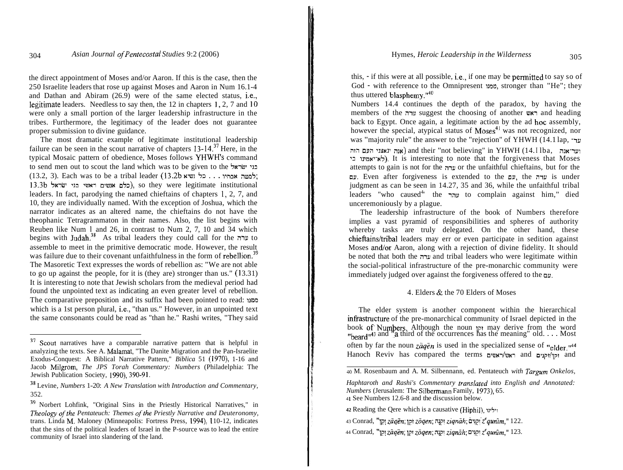the direct appointment of Moses and/or Aaron. If this is the case, then the 250 Israelite leaders that rose up against Moses and Aaron in Num 16.1-4 and Dathan and Abiram (26.9) were of the same elected status, i.e., legitimate leaders. Needless to say then, the 12 in chapters 1, 2, 7 and 10 were only a small portion of the larger leadership infrastructure in the tribes. Furthermore, the legitimacy of the leader does not guarantee proper submission to divine guidance.

The most dramatic example of legitimate institutional leadership failure can be seen in the scout narrative of chapters  $13-14.^{37}$  Here, in the typical Mosaic pattern of obedience, Moses follows YHWH's command to send men out to scout the land which was to be given to the Lzu1w7 **.w**  (13.2, 3). Each was to be a tribal leader (13.2b למטה אכחיו... כל נשיא ל 13.3b הלם אנשים ראשי בני ישראל), so they were legitimate institutional leaders. In fact, parodying the named chieftains of chapters **1,** 2, 7, and 10, they are individually named. With the exception of Joshua, which the narrator indicates as an altered name, the chieftains do not have the theophanic Tetragrammaton in their names. Also, the list begins with Reuben like Num **1** and 26, in contrast to Num 2, 7, 10 and 34 which begins with Judah.<sup>38</sup> As tribal leaders they could call for the  $m$  to assemble to meet in the primitive democratic mode. However, the result was failure due to their covenant unfaithfulness in the form of rebellion.<sup>39</sup> The Masoretic Text expresses the words of rebellion as: "We are not able to go up against the people, for it is (they are) stronger than us."  $(13.31)$ It is interesting to note that Jewish scholars from the medieval period had found the unpointed text as indicating an even greater level of rebellion. The comparative preposition and its suffix had been pointed to read: ממון which is a 1st person plural, i.e., "than us." However, in an unpointed text the same consonants could be read as "than he." Rashi writes, "They said

this, - if this were at all possible, i.e., if one may be permitted to say so of God - with reference to the Omnipresent unn, stronger than "He"; they thus uttered blasphemy."<sup>40</sup>

Numbers 14.4 continues the depth of the paradox, by having the members of the uggest the choosing of another ראש back to Egypt. Once again, a legitimate action by the ad hoc assembly, however the special, atypical status of  $Moses<sup>41</sup>$  was not recognized, nor was "majority rule" the answer to the "rejection" of YHWH (14.1 lap,  $\pm$ ur nin וער־אנה and their "not believing" in YHWH (14. I lba, וער־אנה לא־אמינו בי). It is interesting to note that the forgiveness that Moses attempts to gain is not for the  $\pi$ ערה or the unfaithful chieftains, but for the nu. Even after forgiveness is extended to the nu, the mu is under judgment as can be seen in 14.27, 35 and 36, while the unfaithful tribal leaders "who caused<sup>4</sup> the **independent until usually** to complain against him," died unceremoniously by a plague.

The leadership infrastructure of the book of Numbers therefore implies a vast pyramid of responsibilities and spheres of authority whereby tasks are truly delegated. On the other hand, these chieftains/tribal leaders may err or even participate in sedition against Moses and/or Aaron, along with a rejection of divine fidelity. It should be noted that both the **;nu** and tribal leaders who were legitimate within the social-political infrastructure of the pre-monarchic community were immediately judged over against the forgiveness offered to the  $\mathbf{p}$ .

## 4. Elders & the 70 Elders of Moses

The elder system is another component within the hierarchical infrastructure of the pre-monarchical community of Israel depicted in the book of Numbers. Although the noun  $\eta$ r may derive from the word "beard"<sup>43</sup> and "a third of the occurrences has the meaning" old.... Most often by far the noun  $z\bar{a}q\bar{e}n$  is used in the specialized sense of "elder.<sup>144</sup> Hanoch Reviv has compared the terms ומו/וקונים and nanoch Reviv has compared the terms

<sup>37</sup> Scout narratives have a comparable narrative pattern that is helpful in analyzing the texts. See A. Malamat, "The Danite Migration and the Pan-Israelite Exodus-Conquest: A Biblical Narrative Pattern," *Biblica* 51 (1970), 1-16 and Jacob Milgrom, *The JPS Torah Commentary: Numbers* (Philadelphia: The Jewish Publication Society, 1990), 390-91.

<sup>38</sup> Levine, *Numbers* 1-20: *A New Translation with Introduction and Commentary,*  352.

<sup>39</sup> Norbert Lohfink, "Original Sins in the Priestly Historical Narratives," in *Theology of the Pentateuch: Themes of the Priestly Narrative and Deuteronomy,* trans. Linda M. Maloney (Minneapolis: Fortress Press, 1994), 110-12, indicates that the sins of the political leaders of Israel in the P-source was to lead the entire community of Israel into slandering of the land.

**<sup>40</sup>**M. Rosenbaum and A. M. Silbennann, ed. Pentateuch *with Targum Onkelos,* 

*Haphtaroth and Rashi's Commentary translated into English and Annotated: Numbers* (Jerusalem: The Silbemann Family, 1973), 65. <sup>4</sup>**I** See Numbers 12.6-8 and the discussion below.

**<sup>42</sup> Reading the Oere which is a causative (Hiphil), וילינו** 

<sup>. .</sup> 43 Conrad, "lp! *zGqZn;* pi *z0qen;* n!gt *ziqniih;* 071pt *zequnim,"* 122.

<sup>44</sup> Conrad, "I?! *z7iqZn;* lpr *z0qen;* n!,71 *ziqniih;* n7!pi *zequnim,"* 123.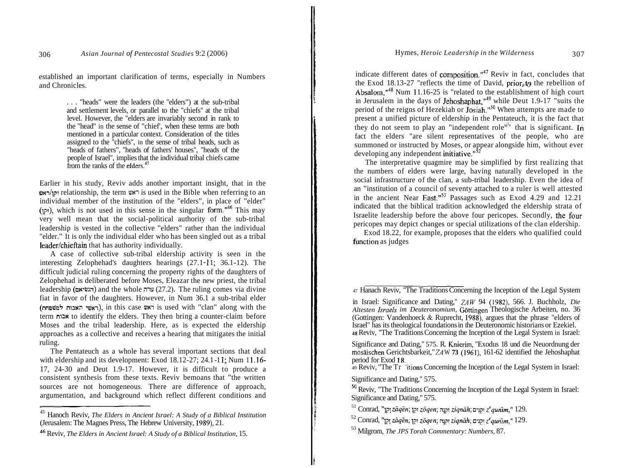established an important clarification of terms, especially in Numbers and Chronicles.

> . . . "heads" were the leaders (the "elders") at the sub-tribal and settlement levels, or parallel to the "chiefs" at the tribal level. However, the "elders are invariably second in rank to the "head" in the sense of "chief', when these terms are both mentioned in a particular context. Consideration of the titles assigned to the "chiefs", in the sense of tribal heads, such as "heads of fathers", "heads of fathers' houses", "heads of the people of Israel", implies that the individual tribal chiefs came from the ranks of the elders.<sup>45</sup>

Earlier in his study, Reviv adds another important insight, that in the auillp~ relationship, the term **wm** is used in the Bible when referring to an individual member of the institution of the "elders", in place of "elder" (ipr), which is not used in this sense in the singular form.<sup> $146$ </sup> This may very well mean that the social-political authority of the sub-tribal leadership is vested in the collective "elders" rather than the individual "elder." It is only the individual elder who has been singled out as a tribal leader/chieftain that has authority individually.

A case of collective sub-tribal eldership activity is seen in the interesting Zelophehad's daughters hearings  $(27.1 - 11; 36.1 - 12)$ . The difficult judicial ruling concerning the property rights of the daughters of Zelophehad is deliberated before Moses, Eleazar the new priest, the tribal leadership (הגשיאם) and the whole ruling comes via divine fiat in favor of the daughters. However, in Num 36.1 a sub-tribal elder (ראשי האבות למשפחת), in this case ראש) is used with "clan" along with the term אבוח to identify the elders. They then bring a counter-claim before Moses and the tribal leadership. Here, as is expected the eldership approaches as a collective and receives a hearing that mitigates the initial ruling.

The Pentateuch as a whole has several important sections that deal with eldership and its development: Exod  $18.12-27$ ;  $24.1-11$ ; Num  $11.16-$ 17, 24-30 and Deut 1.9-17. However, it is difficult to produce a consistent synthesis from these texts. Reviv bemoans that "the written sources are not homogeneous. There are difference of approach, argumentation, and background which reflect different conditions and

indicate different dates of composition."<sup>47</sup> Reviv in fact, concludes that the Exod 18.13-27 "reflects the time of David, prior, to the rebellion of Absalom, $^{48}$  Num 11.16-25 is "related to the establishment of high court in Jerusalem in the days of Jehoshaphat," $49$  while Deut 1.9-17 "suits the period of the reigns of Hezekiah or Josiah."<sup>50</sup> When attempts are made to present a unified picture of eldership in the Pentateuch, it is the fact that they do not seem to play an "independent role<sup> $M^{5}$ </sup> that is significant. In fact the elders "are silent representatives of the people, who are summoned or instructed by Moses, or appear alongside him, without ever developing any independent initiative. $152$ 

The interpretative quagmire may be simplified by first realizing that the numbers of elders were large, having naturally developed in the social infrastructure of the clan, a sub-tribal leadership. Even the idea of an "institution of a council of seventy attached to a ruler is well attested in the ancient Near East." $^{53}$  Passages such as Exod 4.29 and 12.21 indicated that the biblical tradition acknowledged the eldership strata of Israelite leadership before the above four pericopes. Secondly, the four pericopes may depict changes or special utilizations of the clan eldership.

Exod 18.22, for example, proposes that the elders who qualified could function as judges

47 Hanach Reviv, "The Traditions Concerning the Inception of the Legal System

in Israel: Significance and Dating," *ZAW* 94 (1982), 566. J. Buchholz, *Die Altesten Israels im Deuteronomium, Göttingen Theologische Arbeiten, no. 36* (Gottingen: Vandenhoeck & Ruprecht, 1988), argues that the phrase "elders of Israel" has its theological foundations in the Deuteronomic historians or Ezekiel. 48 Reviv, "The Traditions Concerning the Inception of the Legal System in Israel:

Significance and Dating," 575. R. Knierirn, "Exodus 18 und die Neuordnung der mosaischen Gerichtsbarkeit," ZA W **73** (1961), 161-62 identified the Jehoshaphat period for Exod 18.

49 Reviv, "The Tr 'itions Concerning the Inception of the Legal System in Israel:

Significance and Dating," 575.

 $50$  Reviv, "The Traditions Concerning the Inception of the Legal System in Israel:<br>Significance and Dating,"  $575$ .

Significance and Dating," 575. 5 1 Conrad, "lp~ *zZqZn;* ]pr *z6qen;* qpr *ziqmih;* o-~pt *zequnim,"* 129.

52 Conrad, "lp! *ziiqZn;* lpr *z6qen;* ;ryr *ziqniih,* 031?r *zequn?m,"* 129. 53 Milgrom, *The JPS Torah Commentary: Numbers,* 87.

<sup>45</sup> Hanoch Reviv, *The Elders in Ancient Israel: A Study of a Biblical Institution*  (Jerusalem: The Magnes Press, The Hebrew University, 1989), 21.

<sup>46</sup> Reviv, *The Elders in Ancient Israel: A Study of a Biblical Institution,* 15.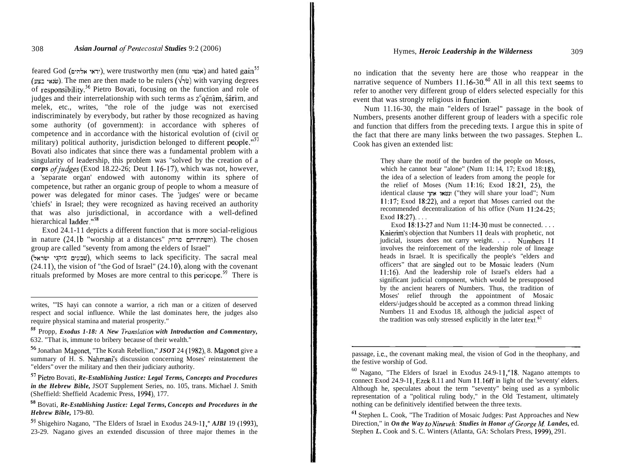feared God (יראי אלהים), were trustworthy men (nnu וועשי) and hated gain<sup>55</sup> (שנאי בצע). The men are then made to be rulers ( $\forall$ ושלאי בצע) with varying degrees of responsibility.56 Pietro Bovati, focusing on the function and role of judges and their interrelationship with such terms as  $z^c$ qēnîm, śārîm, and melek, etc., writes, "the role of the judge was not exercised indiscriminately by everybody, but rather by those recognized as having some authority (of government): in accordance with spheres of competence and in accordance with the historical evolution of (civil or military) political authority, jurisdiction belonged to different people."<sup>57</sup> Bovati also indicates that since there was a fundamental problem with a singularity of leadership, this problem was "solved by the creation of a *corps of judges* (Exod 18.22-26; Deut 1.16-17), which was not, however, a 'separate organ' endowed with autonomy within its sphere of competence, but rather an organic group of people to whom a measure of power was delegated for minor cases. The 'judges' were or became 'chiefs' in Israel; they were recognized as having received an authority that was also jurisdictional, in accordance with a well-defined hierarchical ladder."<sup>58</sup>

Exod 24.1-1 1 depicts a different function that is more social-religious in nature  $(24.1b$  "worship at a distances" והשתחייתם מרחק). The chosen group are called "seventy from among the elders of Israel"

(שבעים מזקני ישראל), which seems to lack specificity. The sacral meal  $(24.11)$ , the vision of "the God of Israel"  $(24.10)$ , along with the covenant rituals preformed by Moses are more central to this pericope.59 There is

writes, "'IS hayi can connote a warrior, a rich man or a citizen of deserved respect and social influence. While the last dominates here, the judges also require physical stamina and material prosperity."

**<sup>55</sup>**Propp, *Exodus 1-18: A New 7'ranslation with Introduction and Commentary,*  632. "That is, immune to bribery because of their wealth."

56 Jonathan Magonet, "The Korah Rebellion," *JSOT* 24 (1982), 8. Magonet give a summary of H. S. Nahmani's discussion concerning Moses' reinstatement the "elders" over the military and then their judiciary authority.

**<sup>57</sup>**Pietro Bovati, *Re-Establishing Justice: Legal Terms, Concepts and Procedures in the Hebrew Bible,* JSOT Supplement Series, no. 105, trans. Michael J. Smith (Sheffield: Sheffield Academic Press, 1994), 177.

**<sup>58</sup>**Bovati, *Re-Establishing Justice: Legal Terms, Concepts and Procedures in the Hebrew Bible,* 179-80.

**<sup>59</sup>**Shigehiro Nagano, "The Elders of Israel in Exodus 24.9-1 1," *AJBI* 19 (1993), 23-29. Nagano gives an extended discussion of three major themes in the

no indication that the seventy here are those who reappear in the narrative sequence of Numbers  $11.16-30$ .<sup>60</sup> All in all this text seems to refer to another very different group of elders selected especially for this event that was strongly religious in function.

Num 11.16-30, the main "elders of Israel" passage in the book of Numbers, presents another different group of leaders with a specific role and function that differs from the preceding texts. I argue this in spite of the fact that there are many links between the two passages. Stephen L. Cook has given an extended list:

> They share the motif of the burden of the people on Moses, which he cannot bear "alone" (Num  $11:14$ ,  $17$ ; Exod  $18:18$ ), the idea of a selection of leaders from among the people for the relief of Moses (Num 11:16; Exod  $\overline{18:21}$ ,  $\overline{25}$ ), the identical clause **ins ~b11** ("they will share your load"; Num 11:17; Exod 18:22), and a report that Moses carried out the recommended decentralization of his office (Num 11:24-25; Exod 18:27)....

> Exod  $18:13-27$  and Num  $11:14-30$  must be connected... Knierim's objection that Numbers 11 deals with prophetic, not judicial, issues does not carry weight. . . . Numbers II involves the reinforcement of the leadership role of lineage heads in Israel. It is specifically the people's "elders and officers" that are singled out to be Mosaic leaders (Num 11:16). And the leadership role of Israel's elders had a significant judicial component, which would be presupposed by the ancient hearers of Numbers. Thus, the tradition of Moses' relief through the appointment of Mosaic elders/-judges should be accepted as a common thread linking Numbers 11 and Exodus 18, although the judicial aspect of the tradition was only stressed explicitly in the later text.<sup>61</sup>

passage, i.e., the covenant making meal, the vision of God in the theophany, and the festive worship of God.

<sup>60</sup> Nagano, "The Elders of Israel in Exodus 24.9-1 1,"18. Nagano attempts to connect Exod 24.9-11, Ezek  $8.11$  and Num 11.16ff in light of the 'seventy' elders. Although he, speculates about the term "seventy" being used as a symbolic representation of a "political ruling body," in the Old Testament, ultimately nothing can be definitively identified between the three texts.

*<sup>6</sup>***<sup>1</sup>**Stephen L. Cook, "The Tradition of Mosaic Judges: Past Approaches and New Direction," in *On the Way to Nineveh. Studies in Honor of George M. Landes, ed.* Stephen *L*. Cook and S. C. Winters (Atlanta, GA: Scholars Press, 1999), 291.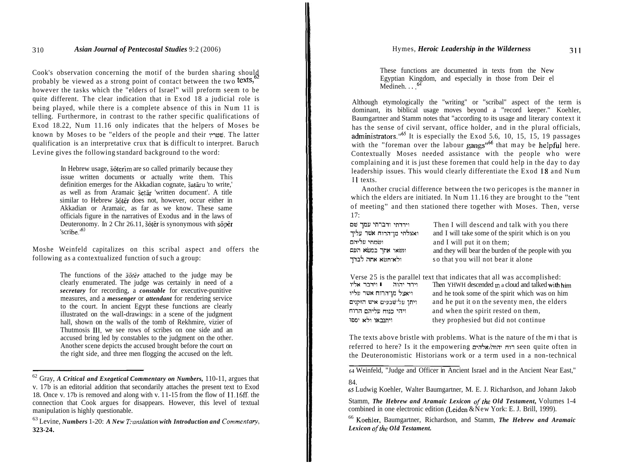Cook's observation concerning the motif of the burden sharing should probably be viewed as a strong point of contact between the two texts,<sup>6</sup> however the tasks which the "elders of Israel" will preform seem to be quite different. The clear indication that in Exod 18 a judicial role is being played, while there is a complete absence of this in Num 11 is telling. Furthermore, in contrast to the rather specific qualifications of Exod 18.22, Num 11.16 only indicates that the helpers of Moses be known by Moses to be "elders of the people and their שמריו. The latter qualification is an interpretative crux that is difficult to interpret. Baruch Levine gives the following standard background to the word:

> In Hebrew usage, softerim are so called primarily because they issue written documents or actually write them. This definition emerges for the Akkadian cognate, šatāru 'to write,' as well as from Aramaic šetār 'written document'. A title similar to Hebrew šôtēr does not, however, occur either in Akkadian or Aramaic, as far as we know. These same officials figure in the narratives of Exodus and in the laws of Deuteronomy. In 2 Chr 26.11, šôtēr is synonymous with sôper 'scribe. $163$

Moshe Weinfeld capitalizes on this scribal aspect and offers the following as a contextualized function of such a group:

> The functions of the *soter* attached to the judge may be clearly enumerated. The judge was certainly in need of a *secretary* for recording, a *constable* for executive-punitive measures, and a *messenger* or *attendant* for rendering service to the court. In ancient Egypt these functions are clearly illustrated on the wall-drawings: in a scene of the judgment hall, shown on the walls of the tomb of Rekhmire, vizier of Thutmosis Ill, we see rows of scribes on one side and an accused bring led by constables to the judgment on the other. Another scene depicts the accused brought before the court on the right side, and three men flogging the accused on the left.

These functions are documented in texts from the New Egyptian Kingdom, and especially in those from Deir el Medineh. . . **.64** 

Although etymologically the "writing" or "scribal" aspect of the term is dominant, its biblical usage moves beyond a "record keeper." Koehler, Baumgartner and Stamm notes that "according to its usage and literary context it has the sense of civil servant, office holder, and in the plural officials, administrators."<sup>oo</sup> It is especially the Exod 5.6, 10, 15, 15, 19 passages with the "foreman over the labour gangs"<sup>66</sup> that may be helpful here. Contextually Moses needed assistance with the people who were complaining and it is just these foremen that could help in the day to day leadership issues. This would clearly differentiate the Exod IS and Num II texts.

Another crucial difference between the two pericopes is the manner in which the elders are initiated. In Num  $11.16$  they are brought to the "tent" of meeting" and then stationed there together with Moses. Then, verse 17:

| וירדתי ודברתי עמך שם    | Then I will descend and talk with you there          |
|-------------------------|------------------------------------------------------|
| ואצלתי מן־הרוח אשר עליך | and I will take some of the spirit which is on you   |
| ושמחי עליהם             | and I will put it on them;                           |
| ונשאו אתך במשא העם      | and they will bear the burden of the people with you |
| ולא־חשא אתה לבדך        | so that you will not bear it alone                   |
|                         |                                                      |

|                          | Verse 25 is the parallel text that indicates that all was accomplished: |
|--------------------------|-------------------------------------------------------------------------|
| וירד יהוה ∎וידבר אליו    | Then YHWH descended in a cloud and talked with him                      |
| ויאצל מן־הרוח אשר עליו   | and he took some of the spirit which was on him                         |
| ויתן על־שבעים איש הזקנים | and he put it on the seventy men, the elders                            |
| ויהי כנוח עליהם הרוח     | and when the spirit rested on them,                                     |
| ויתנבאו ולא יספו         | they prophesied but did not continue                                    |

The texts above bristle with problems. What is the nature of the mi that is referred to here? Is it the empowering רוח יהוה/אלהים seen quite often in the Deuteronomistic Historians work or a term used in a non-technical

<sup>62</sup> Gray, *A Critical and Exegetical Commentary on Numbers,* 110-1 1, argues that v. 17b is an editorial addition that secondarily attaches the present text to Exod 18. Once v. 17b is removed and along with v. 1 1-15 from the flow of 11.16ff. the connection that Cook argues for disappears. However, this level of textual

<sup>&</sup>lt;sup>63</sup> Levine, *Numbers 1-20: A New Translation with Introduction and Commentary,* **323-24.** 

**<sup>64</sup>**Weinfeld, "Judge and Officer in Ancient Israel and in the Ancient Near East," 84.

<sup>6</sup>s Ludwig Koehler, Walter Baumgartner, M. E. J. Richardson, and Johann Jakob

Stamm, *The Hebrew and Aramaic Lexicon of the Old Testament*, Volumes 1-4 combined in one electronic edition (Leiden & New York: E. J. Brill. 1999).

<sup>&</sup>lt;sup>66</sup> Koehler, Baumgartner, Richardson, and Stamm, *The Hebrew and Aramaic* Lexicon of the Old Testament.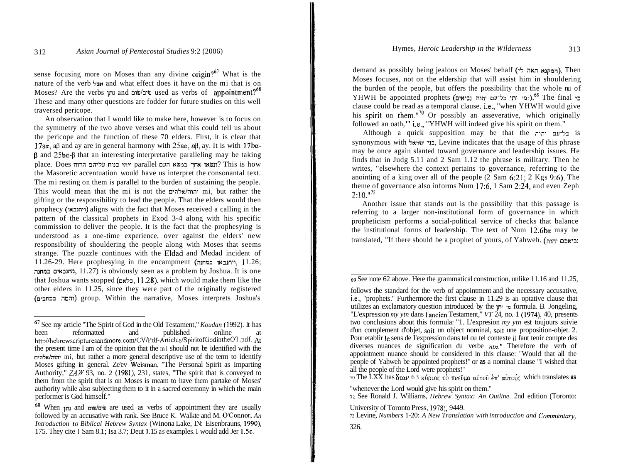sense focusing more on Moses than any divine  $\text{origin?}^{67}$  What is the nature of the verb  $\frac{1}{2}x$  and what effect does it have on the mi that is on Moses? Are the verbs וחן and שים/שום used as verbs of appointment?<sup>68</sup> These and many other questions are fodder for future studies on this well traversed pericope.

An observation that I would like to make here, however is to focus on the symmetry of the two above verses and what this could tell us about the pericope and the function of these 70 elders. First, it is clear that  $17a\alpha$ , a $\beta$  and ay are in general harmony with  $25a\alpha$ ,  $a\beta$ , ay. It is with  $17b\alpha$ - $\beta$  and  $25b\alpha-\beta$  that an interesting interpretative paralleling may be taking place. Does יהי כנוח עליהם הרוח parallel place. Does ויהי כנוח עליהם הרוח the Masoretic accentuation would have us interpret the consonantal text. The mi resting on them is parallel to the burden of sustaining the people. This would mean that the mi is not the  $\frac{1}{\text{min}}$  mi, but rather the gifting or the responsibility to lead the people. That the elders would then prophecy (1u11n.1) aligns with the fact that Moses received a calling in the pattern of the classical prophets in Exod 3-4 along with his specific commission to deliver the people. It is the fact that the prophesying is understood as a one-time experience, over against the elders' new responsibility of shouldering the people along with Moses that seems strange. The puzzle continues with the Eldad and Medad incident of 1 1.26-29. Here prophesying in the encampment (;lnnI wIln.1, 1 1.26; ;l~nn~ n7u31nn, 11.27) is obviously seen as a problem by Joshua. It is one that Joshua wants stopped (כלאם, 11.28), which would make them like the other elders in 11.25, since they were part of the originally registered (והמה בכתבים) group. Within the narrative, Moses interprets Joshua's

demand as possibly being jealous on Moses' behalf (המקנא תאה לי). Then Moses focuses, not on the eldership that will assist him in shouldering the burden of the people, but offers the possibility that the whole nu of YHWH be appointed prophets (ומי יתן כל־עם יהוה נביאים).<sup>69</sup> The final clause could be read as a temporal clause, i.e., "when YHWH would give his spirit on them."<sup>70</sup> Or possibly an asseverative, which originally followed an oath," i.e., "YHWH will indeed give his spirit on them."

Although a quick supposition may be that the כליעם יהוה synonymous with בני ישראל, Levine indicates that the usage of this phrase may be once again slanted toward governance and leadership issues. He finds that in Judg 5.1 1 and 2 Sam 1.12 the phrase is military. Then he writes, "elsewhere the context pertains to governance, referring to the anointing of a king over all of the people (2 Sam 6:21; 2 Kgs 9:6). The theme of governance also informs Num 17:6, 1 Sam 2:24, and even Zeph  $2:10.^{0.72}$ 

Another issue that stands out is the possibility that this passage is referring to a larger non-institutional form of governance in which propheticism performs a social-political service of checks that balance the institutional forms of leadership. The text of Num  $12.6$ b $\alpha$  may be translated, "If there should be a prophet of yours, of Yahweh. (נביאכם יהוה

all the people of the Lord were prophets!" 70 The LXX has 6rav 63 K~~LOC *rb* nv~Dpcr cr6roC an' cnbroir~, which translates **as** 

"whenever the Lord would give his spirit on them."

71 See Ronald J. Williams, *Hebrew Syntax: An Outline.* 2nd edition (Toronto:

University of Toronto Press, 1978), 9449.<br>72 Levine, *Numbers* 1-20: *A New Translation with introduction and Commentary*,

<sup>&</sup>lt;sup>67</sup> See my article "The Spirit of God in the Old Testament," *Koudan* (1992). It has been reformatted and published online at **http//hebrewscripturesandmore.com/CV/Pdf-Articles/SpiritofGodintheOT.pdf.** At the present time I am of the opinion that the mi should not be identified with the nvh~/;ll;l' mi, but rather a more general descriptive use of the term to identify Moses gifting in general. Ze'ev Weisman, "The Personal Spirit as Imparting Authority," *ZAW* 93, no. 2 (1981), 231, states, "The spirit that is conveyed to them from the spirit that is on Moses is meant to have them partake of Moses' authority while also subjecting them to it in a sacred ceremony in which the main performer is God himself."

<sup>&</sup>lt;sup>68</sup> When  $\mu$  and  $\omega/\omega$  are used as verbs of appointment they are usually followed by an accusative with rank. See Bruce K. Walkte and M. O'Connor, *An Introduction lo Biblical Hebrew Syntax* (Winona Lake, IN: Eisenbrauns, 1990), 175. They cite I Sam 8.1; Isa 3.7; Deut 1.15 as examples. I would add Jer 1.5c.

<sup>69</sup> See note 62 above. Here the grammatical construction, unlike 11.16 and 11.25,

follows the standard for the verb of appointment and the necessary accusative, i.e., "prophets." Furthermore the first clause in 11.29 is an optative clause that utilizes an exclamatory question introduced by the  $\mu$  m formula. B. Jongeling, "L'expression *my ytn* dans I'ancien Testament," *VT* 24, no. 1 (1974), 40, presents two conclusions about this formula: "1. L'expresion *my ytn* est toujours suivie d'un complement d'objet, soit un object nominal, soit une proposition-objet. 2. Pour etablir le sens de I'expression dans tel ou tel contexte il faut tenir compte des diverses nuances de signification du verbe *ntn."* Therefore the verb of appointment nuance should be considered in this clause: "Would that all the people of Yahweh be appointed prophets!" or **as** a nominal clause "I wished that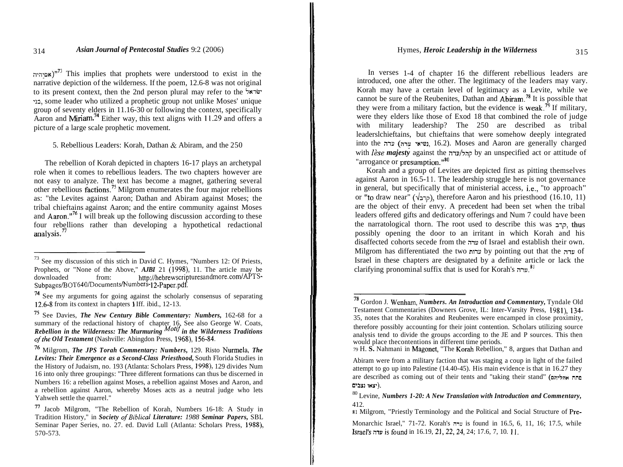אסיהיה $^{73}$ . This implies that prophets were understood to exist in the narrative depiction of the wilderness. If the poem, 12.6-8 was not original to its present context, then the 2nd person plural may refer to the  $\frac{1}{2}$ ישראל -12, some leader who utilized a prophetic group not unlike Moses' unique group of seventy elders in  $11.16-30$  or following the context, specifically Aaron and Miriam.<sup>74</sup> Either way, this text aligns with  $11.29$  and offers a picture of a large scale prophetic movement.

5. Rebellious Leaders: Korah, Dathan & Abiram, and the 250

The rebellion of Korah depicted in chapters 16-17 plays an archetypal role when it comes to rebellious leaders. The two chapters however are not easy to analyze. The text has become a magnet, gathering several other rebellious factions.75 Milgrom enumerates the four major rebellions as: "the Levites against Aaron; Dathan and Abiram against Moses; the tribal chieftains against Aaron; and the entire community against Moses and Aaron."<sup>76</sup> I will break up the following discussion according to these four rebellions rather than developing a hypothetical redactional analysis.<sup>77</sup>

In verses 1-4 of chapter 16 the different rebellious leaders are introduced, one after the other. The legitimacy of the leaders may vary. Korah may have a certain level of legitimacy as a Levite, while we cannot be sure of the Reubenites, Dathan and  $Abiram<sup>78</sup>$  It is possible that they were from a military faction, but the evidence is weak.<sup>79</sup> If military, were they elders like those of Exod 18 that combined the role of judge with military leadership? The 250 are described as tribal leaderslchieftains, but chieftains that were somehow deeply integrated into the נשיאי עדה), 16.2). Moses and Aaron are generally charged with *lèse majesty* against the קהל/עדה by an unspecified act or attitude of "arrogance or presumption."80

Korah and a group of Levites are depicted first as pitting themselves against Aaron in 16.5-1 1. The leadership struggle here is not governance in general, but specifically that of ministerial access, i.e., "to approach" or "to draw near" (קרב $\triangleright$ ), therefore Aaron and his priesthood (16.10, 11) are the object of their envy. A precedent had been set when the tribal leaders offered gifts and dedicatory offerings and Num 7 could have been the narratological thorn. The root used to describe this was  $\pi$ -2, thus possibly opening the door to an irritant in which Korah and his disaffected cohorts secede from the  $\pi$ ערה of Israel and establish their own. Milgrom has differentiated the two עדה by pointing out that the www Israel in these chapters are designated by a definite article or lack the clarifying pronominal suffix that is used for Korah's "

!

<sup>73</sup> See my discussion of this stich in David C. Hymes, "Numbers 12: Of Priests, Prophets, or "None of the Above," *AJBI* 21 (1998), 11. The article may be downloaded from: http://hebrewscripturesandmore.com/APTS-Subpages/BOT640/Documents/Numbers- 12-Paper.pdf.

<sup>74</sup> See my arguments for going against the scholarly consensus of separating 12.6-8 from its context in chapters 1 Iff. ibid., 12-13.

<sup>75</sup> See Davies, *The New Century Bible Commentary: Numbers,* 162-68 for a summary of the redactional history of chapter 16. See also George W. Coats, *Rebellion in the Wilderness: The Murmuring Motrf in the Wilderness Traditions ofthe Old Testament* (Nashville: Abingdon Press, 1968), 156-84.

<sup>76</sup> Milgrom, *The JPS Torah Commentary: Numbers,* 129. Risto Nurmela, *The Levites: Their Emergence as a Second-Class Priesthood,* South Florida Studies in the History of Judaism, no. 193 (Atlanta: Scholars Press, 1998), 129 divides Num 16 into only three groupings: "Three different formations can thus be discerned in Numbers 16: a rebellion against Moses, a rebellion against Moses and Aaron, and a rebellion against Aaron, whereby Moses acts as a neutral judge who lets Yahweh settle the quarrel."

<sup>77</sup> Jacob Milgrom, "The Rebellion of Korah, Numbers 16-18: A Study in Tradition History," in *Society ofBiblica1 Literature: 1988 Seminar Papers,* SBL Seminar Paper Series, no. 27. ed. David Lull (Atlanta: Scholars Press, 1988), 570-573.

<sup>78</sup> Gordon J. Wenham, *Numbers. An Introduction and Commentary,* Tyndale Old Testament Commentaries (Downers Grove, IL: Inter-Varsity Press, 1981), 134- 35, notes that the Korahites and Reubenites were encamped in close proximity, therefore possibly accounting for their joint contention. Scholars utilizing source analysis tend to divide the groups according to the JE and P sources. This then would place thecontentions in different time periods.

<sup>79</sup> H. **S.** Nahmani in Magonet, "The Korah Rebellion," 8, argues that Dathan and

Abiram were from a military faction that was staging a coup in light of the failed attempt to go up into Palestine (14.40-45). His main evidence is that in 16.27 they are described as coming out of their tents and "taking their stand" (<sub>ח</sub>מה אהליהם **o'נצאו** נצבים.

<sup>80</sup> Levine, *Numbers 1-20: A New Translation with Introduction and Commentary,*  412.

**<sup>8 1</sup>** Milgrom, "Priestly Terminology and the Political and Social Structure of Pre-

Monarchic Israel," 71-72. Korah's niu is found in 16.5, 6, 11, 16; 17.5, while 1srael's;nuisfound in 16.19, 21,22,24, 24; 17.6, 7, 10. 11.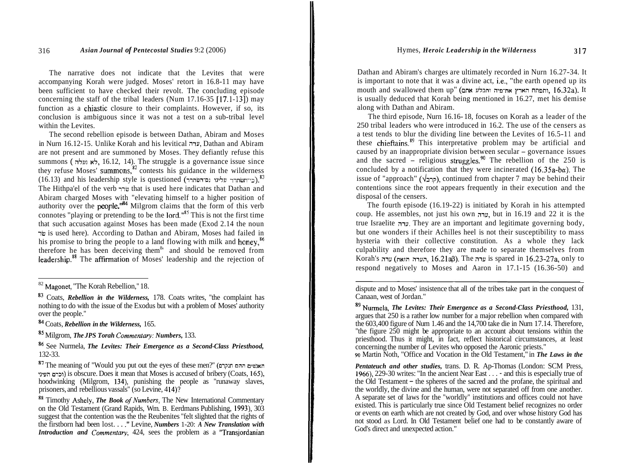The narrative does not indicate that the Levites that were accompanying Korah were judged. Moses' retort in 16.8-11 may have been sufficient to have checked their revolt. The concluding episode concerning the staff of the tribal leaders (Num 17.16-35  $[17.1-13]$ ) may function as a chiastic closure to their complaints. However, if so, its conclusion is ambiguous since it was not a test on a sub-tribal level within the Levites.

The second rebellion episode is between Dathan, Abiram and Moses in Nurn 16.12-1 5. Unlike Korah and his levitical mu, Dathan and Abiram are not present and are summoned by Moses. They defiantly refuse this summons (לא נעלה, 16.12, 14). The struggle is a governance issue since they refuse Moses' summons,<sup>82</sup> contests his guidance in the wilderness (16.13) and his leadership style is questioned (כי־חשתרר עלינו נם־השתרר (16.13). The Hithpa'el of the verb TTW that is used here indicates that Dathan and Abiram charged Moses with "elevating himself to a higher position of authority over the people  $^{\prime\prime\prime}$ <sup>84</sup> Milgrom claims that the form of this verb connotes "playing or pretending to be the lord."<sup>85</sup> This is not the first time that such accusation against Moses has been made (Exod 2.14 the noun TW is used here). According to Dathan and Abiram, Moses had failed in his promise to bring the people to a land flowing with milk and honey,<sup>86</sup> therefore he has been deceiving them $8$ <sup>t</sup> and should be removed from leadership.88 The affirmation of Moses' leadership and the rejection of

Dathan and Abiram's charges are ultimately recorded in Nurn 16.27-34. It is important to note that it was a divine act, i.e., "the earth opened up its mouth and swallowed them up" (חפחה הארץ את־פיה ותבלע אתם), 16.32a). It is usually deduced that Korah being mentioned in 16.27, met his demise along with Dathan and Abiram.

The third episode, Nurn 16.16- 18, focuses on Korah as a leader of the 250 tribal leaders who were introduced in 16.2. The use of the censers as a test tends to blur the dividing line between the Levites of 16.5-11 and these chieftains.<sup>89</sup> This interpretative problem may be artificial and caused by an inappropriate division between secular  $\overline{-}$  governance issues and the sacred  $\overline{\phantom{a}}$  religious struggles.<sup>90</sup> The rebellion of the 250 is concluded by a notification that they were incinerated  $(16.35a-b\alpha)$ . The issue of "approach" (קרב $\epsilon$ ), continued from chapter 7 may be behind their contentions since the root appears frequently in their execution and the disposal of the censers.

The fourth episode (16.19-22) is initiated by Korah in his attempted coup. He assembles, not just his own mu, but in 16.19 and 22 it is the true Israelite *y*u. They are an important and legitimate governing body, but one wonders if their Achilles heel is not their susceptibility to mass hysteria with their collective constitution. As a whole they lack culpability and therefore they are made to separate themselves from Korah's ערה הואת) והערה הואת) והערה הואת) ו $\lim_{n \to \infty} 16.21$  is spared in  $16.23-27a$ , only to respond negatively to Moses and Aaron in 17.1-15 (16.36-50) and

dispute and to Moses' insistence that all of the tribes take part in the conquest of Canaan, west of Jordan."

89 Nurmela, *The Levites: Their Emergence as a Second-Class Priesthood,* 131, argues that 250 is a rather low number for a major rebellion when compared with the 603.400 figure of Num 1.46 and the 14.700 take die in Num 17.14. Therefore. "the figure  $250$  might be appropriate to an account about tensions within the priesthood. Thus it might, in fact, reflect historical circumstances, at least concerning the number of Levites who opposed the Aaronic priests." 90 Martin Noth, "Office and Vocation in the Old Testament," in *The Laws in the* 

*Pentateuch and other studies,* trans. D. R. Ap-Thomas (London: SCM Press, 1966), 229-30 writes: "In the ancient Near East . . . - and this is especially true of the Old Testament - the spheres of the sacred and the profane, the spiritual and the worldly, the divine and the human, were not separated off from one another. A separate set of laws for the "worldly" institutions and offices could not have existed. This is particularly true since Old Testament belief recognizes no order or events on earth which are not created by God, and over whose history God has not stood as Lord. In Old Testament belief one had to be constantly aware of God's direct and unexpected action."

<sup>82</sup> Magonet, "The Korah Rebellion," 18.

<sup>83</sup> Coats, *Rebellion in the Wilderness,* 178. Coats writes, "the complaint has nothing to do with the issue of the Exodus but with a problem of Moses' authority over the people."

<sup>84</sup> Coats, *Rebellion in the Wilderness,* 165.

Milgrom, *The JPS Torah Commentav: Numbers,* 133.

<sup>86</sup> See Nurmela, *The Levites: Their Emergence as a Second-Class Priesthood,*  132-33.

 $^{87}$ The meaning of "Would you put out the eyes of these men?" (האנשים ההם תנקרם וכרם העיני $\lambda$ ) is obscure. Does it mean that Moses is accused of bribery (Coats, 165), hoodwinking (Milgrom, 134), punishing the people as "runaway slaves, prisoners, and rebellious vassals" (so Levine, 414)?

<sup>&</sup>lt;sup>88</sup> Timothy Ashely, *The Book of Numbers*, The New International Commentary on the Old Testament (Grand Rapids, Wm. B. Eerdmans Publishing, 1993), 303 suggest that the contention was the the Reubenites "felt slighted that the rights of the firstborn had been lost. . . ." Levine, *Numbers* 1-20: *A New Translation with Introduction and Commentary*, 424, sees the problem as a "Transjordanian